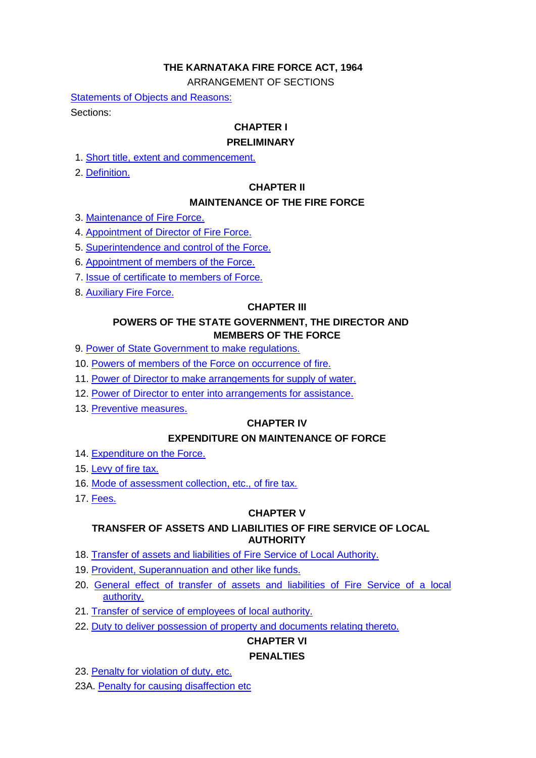# **THE KARNATAKA FIRE FORCE ACT, 1964**

ARRANGEMENT OF SECTIONS

[Statements of Objects and Reasons:](#page-1-0) Sections:

# **CHAPTER I**

## **PRELIMINARY**

- 1. [Short title, extent and commencement.](#page-3-0)
- 2. [Definition.](#page-3-1)

## **CHAPTER II**

# **MAINTENANCE OF THE FIRE FORCE**

- 3. [Maintenance of Fire Force.](#page-4-0)
- 4. [Appointment of Director of Fire Force.](#page-4-1)
- 5. [Superintendence and control of the Force.](#page-4-2)
- 6. [Appointment of members of the Force.](#page-4-3)
- 7. [Issue of certificate to members of Force.](#page-4-4)
- 8. [Auxiliary Fire Force.](#page-4-5)

## **CHAPTER III**

## **POWERS OF THE STATE GOVERNMENT, THE DIRECTOR AND MEMBERS OF THE FORCE**

- 9. [Power of State Government to make regulations.](#page-4-6)
- 10. [Powers of members of the Force on occurrence of fire.](#page-5-0)
- 11. [Power of Director to make arrangements for supply of water.](#page-5-1)
- 12. [Power of Director to enter into arrangements for assistance.](#page-5-2)
- 13. [Preventive measures.](#page-5-3)

# **CHAPTER IV**

# **EXPENDITURE ON MAINTENANCE OF FORCE**

- 14. [Expenditure on the Force.](#page-6-0)
- 15. [Levy of fire tax.](#page-6-1)
- 16. [Mode of assessment collection, etc., of fire tax.](#page-6-2)
- 17. [Fees.](#page-6-3)

## **CHAPTER V**

# **TRANSFER OF ASSETS AND LIABILITIES OF FIRE SERVICE OF LOCAL AUTHORITY**

- 18. [Transfer of assets and liabilities of Fire Service of Local Authority.](#page-6-4)
- 19. [Provident, Superannuation and other like funds.](#page-7-0)
- 20. [General effect of transfer of assets and liabilities of Fire Service of a local](#page-7-1)  [authority.](#page-7-1)
- 21. [Transfer of service of employees of local authority.](#page-7-2)
- 22. [Duty to deliver possession of property and documents relating thereto.](#page-7-3)

# **CHAPTER VI**

# **PENALTIES**

- 23. [Penalty for violation of duty, etc.](#page-8-0)
- 23A. [Penalty for causing disaffection etc](#page-8-1)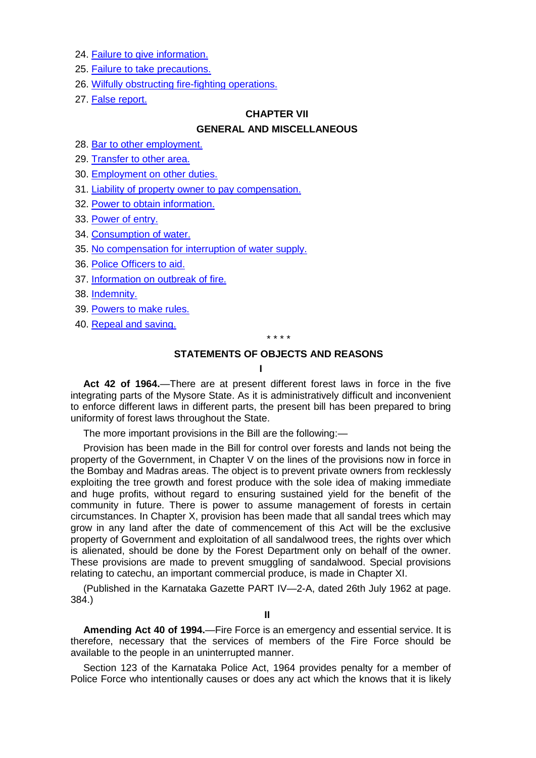- 24. [Failure to give information.](#page-8-2)
- 25. [Failure to take precautions.](#page-8-3)
- 26. [Wilfully obstructing fire-fighting operations.](#page-8-4)
- 27. [False report.](#page-9-0)

## **CHAPTER VII**

## **GENERAL AND MISCELLANEOUS**

- 28. [Bar to other employment.](#page-9-1)
- 29. [Transfer to other area.](#page-9-2)
- 30. [Employment on other duties.](#page-9-3)
- 31. [Liability of property owner to pay compensation.](#page-9-4)
- 32. [Power to obtain information.](#page-9-5)
- 33. [Power of entry.](#page-9-6)
- 34. [Consumption of water.](#page-9-7)
- 35. [No compensation for interruption of water supply.](#page-9-8)
- 36. [Police Officers to aid.](#page-10-0)
- 37. [Information on outbreak of fire.](#page-10-1)
- 38. [Indemnity.](#page-10-2)
- 39. [Powers to make rules.](#page-10-3)
- <span id="page-1-0"></span>40. [Repeal and saving.](#page-11-0)

\* \* \* \*

# **STATEMENTS OF OBJECTS AND REASONS**

**I** 

**Act 42 of 1964.**—There are at present different forest laws in force in the five integrating parts of the Mysore State. As it is administratively difficult and inconvenient to enforce different laws in different parts, the present bill has been prepared to bring uniformity of forest laws throughout the State.

The more important provisions in the Bill are the following:—

Provision has been made in the Bill for control over forests and lands not being the property of the Government, in Chapter V on the lines of the provisions now in force in the Bombay and Madras areas. The object is to prevent private owners from recklessly exploiting the tree growth and forest produce with the sole idea of making immediate and huge profits, without regard to ensuring sustained yield for the benefit of the community in future. There is power to assume management of forests in certain circumstances. In Chapter X, provision has been made that all sandal trees which may grow in any land after the date of commencement of this Act will be the exclusive property of Government and exploitation of all sandalwood trees, the rights over which is alienated, should be done by the Forest Department only on behalf of the owner. These provisions are made to prevent smuggling of sandalwood. Special provisions relating to catechu, an important commercial produce, is made in Chapter XI.

(Published in the Karnataka Gazette PART IV—2-A, dated 26th July 1962 at page. 384.)

**Amending Act 40 of 1994.**—Fire Force is an emergency and essential service. It is therefore, necessary that the services of members of the Fire Force should be available to the people in an uninterrupted manner.

Section 123 of the Karnataka Police Act, 1964 provides penalty for a member of Police Force who intentionally causes or does any act which the knows that it is likely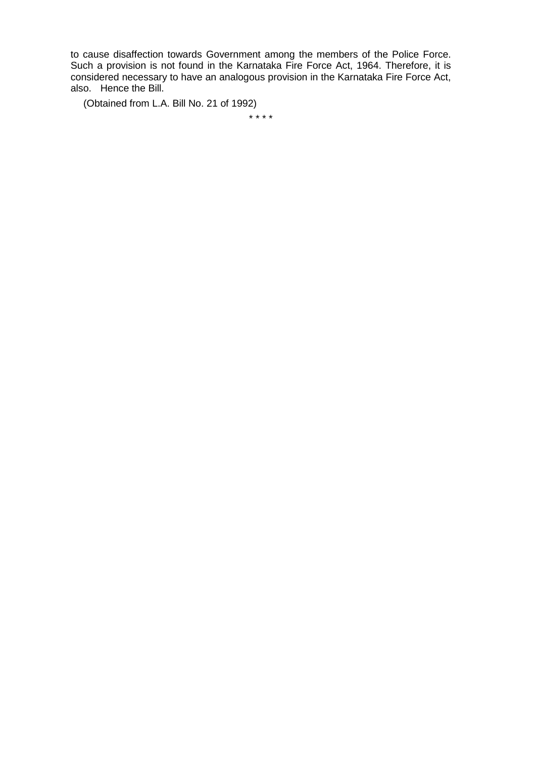to cause disaffection towards Government among the members of the Police Force. Such a provision is not found in the Karnataka Fire Force Act, 1964. Therefore, it is considered necessary to have an analogous provision in the Karnataka Fire Force Act, also. Hence the Bill.

(Obtained from L.A. Bill No. 21 of 1992)

\* \* \* \*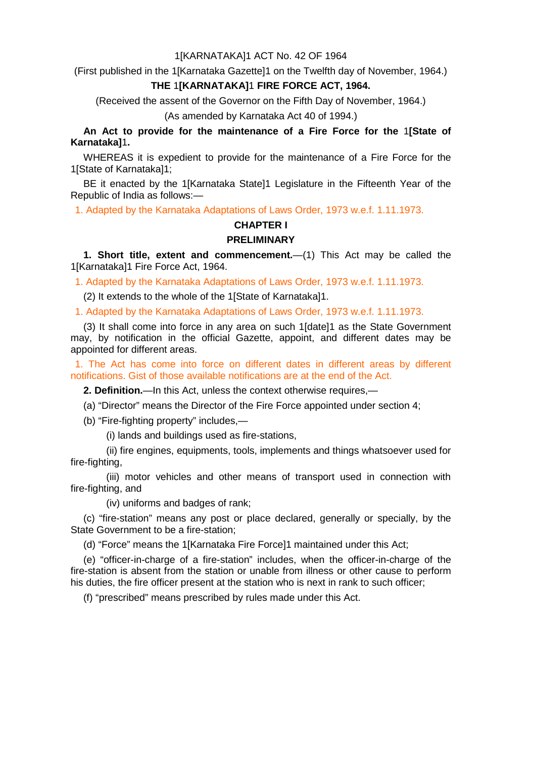#### 1[KARNATAKA]1 ACT No. 42 OF 1964

(First published in the 1[Karnataka Gazette]1 on the Twelfth day of November, 1964.)

#### **THE** 1**[KARNATAKA]**1 **FIRE FORCE ACT, 1964.**

(Received the assent of the Governor on the Fifth Day of November, 1964.)

(As amended by Karnataka Act 40 of 1994.)

**An Act to provide for the maintenance of a Fire Force for the** 1**[State of Karnataka]**1**.** 

WHEREAS it is expedient to provide for the maintenance of a Fire Force for the 1[State of Karnataka]1;

BE it enacted by the 1[Karnataka State]1 Legislature in the Fifteenth Year of the Republic of India as follows:—

1. Adapted by the Karnataka Adaptations of Laws Order, 1973 w.e.f. 1.11.1973.

#### **CHAPTER I**

#### **PRELIMINARY**

<span id="page-3-0"></span>**1. Short title, extent and commencement.**—(1) This Act may be called the 1[Karnataka]1 Fire Force Act, 1964.

1. Adapted by the Karnataka Adaptations of Laws Order, 1973 w.e.f. 1.11.1973.

(2) It extends to the whole of the 1[State of Karnataka]1.

1. Adapted by the Karnataka Adaptations of Laws Order, 1973 w.e.f. 1.11.1973.

(3) It shall come into force in any area on such 1[date]1 as the State Government may, by notification in the official Gazette, appoint, and different dates may be appointed for different areas.

1. The Act has come into force on different dates in different areas by different notifications. Gist of those available notifications are at the end of the Act.

<span id="page-3-1"></span>**2. Definition.**—In this Act, unless the context otherwise requires,—

(a) "Director" means the Director of the Fire Force appointed under section 4;

(b) "Fire-fighting property" includes,—

(i) lands and buildings used as fire-stations,

(ii) fire engines, equipments, tools, implements and things whatsoever used for fire-fighting,

(iii) motor vehicles and other means of transport used in connection with fire-fighting, and

(iv) uniforms and badges of rank;

(c) "fire-station" means any post or place declared, generally or specially, by the State Government to be a fire-station;

(d) "Force" means the 1[Karnataka Fire Force]1 maintained under this Act;

(e) "officer-in-charge of a fire-station" includes, when the officer-in-charge of the fire-station is absent from the station or unable from illness or other cause to perform his duties, the fire officer present at the station who is next in rank to such officer;

(f) "prescribed" means prescribed by rules made under this Act.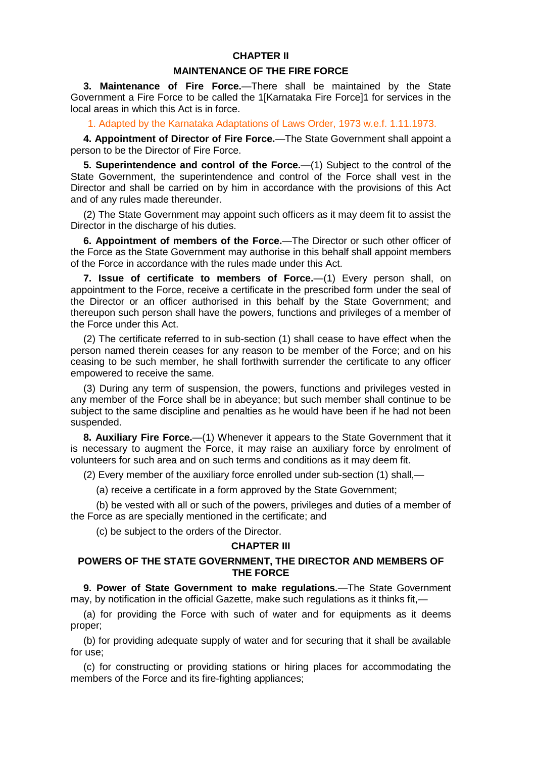## **CHAPTER II**

#### **MAINTENANCE OF THE FIRE FORCE**

<span id="page-4-0"></span>**3. Maintenance of Fire Force.**—There shall be maintained by the State Government a Fire Force to be called the 1[Karnataka Fire Force]1 for services in the local areas in which this Act is in force.

<span id="page-4-1"></span>1. Adapted by the Karnataka Adaptations of Laws Order, 1973 w.e.f. 1.11.1973.

**4. Appointment of Director of Fire Force.**—The State Government shall appoint a person to be the Director of Fire Force.

<span id="page-4-2"></span>**5. Superintendence and control of the Force.**—(1) Subject to the control of the State Government, the superintendence and control of the Force shall vest in the Director and shall be carried on by him in accordance with the provisions of this Act and of any rules made thereunder.

(2) The State Government may appoint such officers as it may deem fit to assist the Director in the discharge of his duties.

<span id="page-4-3"></span>**6. Appointment of members of the Force.**—The Director or such other officer of the Force as the State Government may authorise in this behalf shall appoint members of the Force in accordance with the rules made under this Act.

<span id="page-4-4"></span>**7. Issue of certificate to members of Force.**—(1) Every person shall, on appointment to the Force, receive a certificate in the prescribed form under the seal of the Director or an officer authorised in this behalf by the State Government; and thereupon such person shall have the powers, functions and privileges of a member of the Force under this Act.

(2) The certificate referred to in sub-section (1) shall cease to have effect when the person named therein ceases for any reason to be member of the Force; and on his ceasing to be such member, he shall forthwith surrender the certificate to any officer empowered to receive the same.

(3) During any term of suspension, the powers, functions and privileges vested in any member of the Force shall be in abeyance; but such member shall continue to be subject to the same discipline and penalties as he would have been if he had not been suspended.

<span id="page-4-5"></span>**8. Auxiliary Fire Force.**—(1) Whenever it appears to the State Government that it is necessary to augment the Force, it may raise an auxiliary force by enrolment of volunteers for such area and on such terms and conditions as it may deem fit.

(2) Every member of the auxiliary force enrolled under sub-section (1) shall,—

(a) receive a certificate in a form approved by the State Government;

(b) be vested with all or such of the powers, privileges and duties of a member of the Force as are specially mentioned in the certificate; and

(c) be subject to the orders of the Director.

## **CHAPTER III**

## **POWERS OF THE STATE GOVERNMENT, THE DIRECTOR AND MEMBERS OF THE FORCE**

<span id="page-4-6"></span>**9. Power of State Government to make regulations.**—The State Government may, by notification in the official Gazette, make such regulations as it thinks fit,—

(a) for providing the Force with such of water and for equipments as it deems proper;

(b) for providing adequate supply of water and for securing that it shall be available for use;

(c) for constructing or providing stations or hiring places for accommodating the members of the Force and its fire-fighting appliances;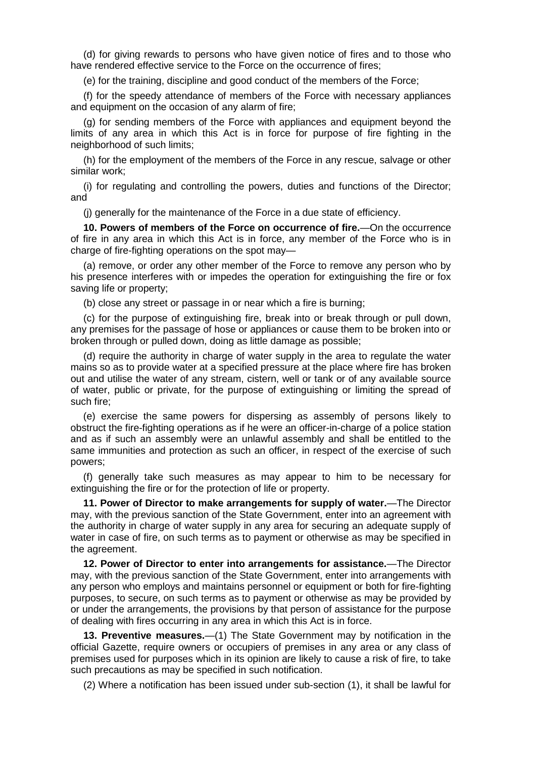(d) for giving rewards to persons who have given notice of fires and to those who have rendered effective service to the Force on the occurrence of fires;

(e) for the training, discipline and good conduct of the members of the Force;

(f) for the speedy attendance of members of the Force with necessary appliances and equipment on the occasion of any alarm of fire;

(g) for sending members of the Force with appliances and equipment beyond the limits of any area in which this Act is in force for purpose of fire fighting in the neighborhood of such limits;

(h) for the employment of the members of the Force in any rescue, salvage or other similar work;

(i) for regulating and controlling the powers, duties and functions of the Director; and

<span id="page-5-0"></span>(j) generally for the maintenance of the Force in a due state of efficiency.

**10. Powers of members of the Force on occurrence of fire.**—On the occurrence of fire in any area in which this Act is in force, any member of the Force who is in charge of fire-fighting operations on the spot may—

(a) remove, or order any other member of the Force to remove any person who by his presence interferes with or impedes the operation for extinguishing the fire or fox saving life or property;

(b) close any street or passage in or near which a fire is burning;

(c) for the purpose of extinguishing fire, break into or break through or pull down, any premises for the passage of hose or appliances or cause them to be broken into or broken through or pulled down, doing as little damage as possible;

(d) require the authority in charge of water supply in the area to regulate the water mains so as to provide water at a specified pressure at the place where fire has broken out and utilise the water of any stream, cistern, well or tank or of any available source of water, public or private, for the purpose of extinguishing or limiting the spread of such fire;

(e) exercise the same powers for dispersing as assembly of persons likely to obstruct the fire-fighting operations as if he were an officer-in-charge of a police station and as if such an assembly were an unlawful assembly and shall be entitled to the same immunities and protection as such an officer, in respect of the exercise of such powers;

(f) generally take such measures as may appear to him to be necessary for extinguishing the fire or for the protection of life or property.

<span id="page-5-1"></span>**11. Power of Director to make arrangements for supply of water.**—The Director may, with the previous sanction of the State Government, enter into an agreement with the authority in charge of water supply in any area for securing an adequate supply of water in case of fire, on such terms as to payment or otherwise as may be specified in the agreement.

<span id="page-5-2"></span>**12. Power of Director to enter into arrangements for assistance.**—The Director may, with the previous sanction of the State Government, enter into arrangements with any person who employs and maintains personnel or equipment or both for fire-fighting purposes, to secure, on such terms as to payment or otherwise as may be provided by or under the arrangements, the provisions by that person of assistance for the purpose of dealing with fires occurring in any area in which this Act is in force.

<span id="page-5-3"></span>**13. Preventive measures.**—(1) The State Government may by notification in the official Gazette, require owners or occupiers of premises in any area or any class of premises used for purposes which in its opinion are likely to cause a risk of fire, to take such precautions as may be specified in such notification.

(2) Where a notification has been issued under sub-section (1), it shall be lawful for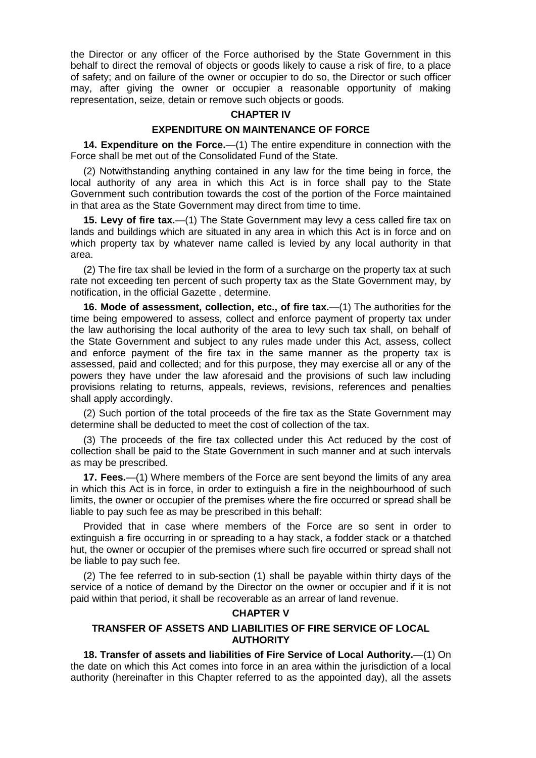the Director or any officer of the Force authorised by the State Government in this behalf to direct the removal of objects or goods likely to cause a risk of fire, to a place of safety; and on failure of the owner or occupier to do so, the Director or such officer may, after giving the owner or occupier a reasonable opportunity of making representation, seize, detain or remove such objects or goods.

## **CHAPTER IV**

#### **EXPENDITURE ON MAINTENANCE OF FORCE**

<span id="page-6-0"></span>**14. Expenditure on the Force.**—(1) The entire expenditure in connection with the Force shall be met out of the Consolidated Fund of the State.

(2) Notwithstanding anything contained in any law for the time being in force, the local authority of any area in which this Act is in force shall pay to the State Government such contribution towards the cost of the portion of the Force maintained in that area as the State Government may direct from time to time.

<span id="page-6-1"></span>**15. Levy of fire tax.**—(1) The State Government may levy a cess called fire tax on lands and buildings which are situated in any area in which this Act is in force and on which property tax by whatever name called is levied by any local authority in that area.

(2) The fire tax shall be levied in the form of a surcharge on the property tax at such rate not exceeding ten percent of such property tax as the State Government may, by notification, in the official Gazette , determine.

<span id="page-6-2"></span>**16. Mode of assessment, collection, etc., of fire tax.**—(1) The authorities for the time being empowered to assess, collect and enforce payment of property tax under the law authorising the local authority of the area to levy such tax shall, on behalf of the State Government and subject to any rules made under this Act, assess, collect and enforce payment of the fire tax in the same manner as the property tax is assessed, paid and collected; and for this purpose, they may exercise all or any of the powers they have under the law aforesaid and the provisions of such law including provisions relating to returns, appeals, reviews, revisions, references and penalties shall apply accordingly.

(2) Such portion of the total proceeds of the fire tax as the State Government may determine shall be deducted to meet the cost of collection of the tax.

(3) The proceeds of the fire tax collected under this Act reduced by the cost of collection shall be paid to the State Government in such manner and at such intervals as may be prescribed.

<span id="page-6-3"></span>**17. Fees.**—(1) Where members of the Force are sent beyond the limits of any area in which this Act is in force, in order to extinguish a fire in the neighbourhood of such limits, the owner or occupier of the premises where the fire occurred or spread shall be liable to pay such fee as may be prescribed in this behalf:

Provided that in case where members of the Force are so sent in order to extinguish a fire occurring in or spreading to a hay stack, a fodder stack or a thatched hut, the owner or occupier of the premises where such fire occurred or spread shall not be liable to pay such fee.

(2) The fee referred to in sub-section (1) shall be payable within thirty days of the service of a notice of demand by the Director on the owner or occupier and if it is not paid within that period, it shall be recoverable as an arrear of land revenue.

#### **CHAPTER V**

## <span id="page-6-4"></span>**TRANSFER OF ASSETS AND LIABILITIES OF FIRE SERVICE OF LOCAL AUTHORITY**

**18. Transfer of assets and liabilities of Fire Service of Local Authority.**—(1) On the date on which this Act comes into force in an area within the jurisdiction of a local authority (hereinafter in this Chapter referred to as the appointed day), all the assets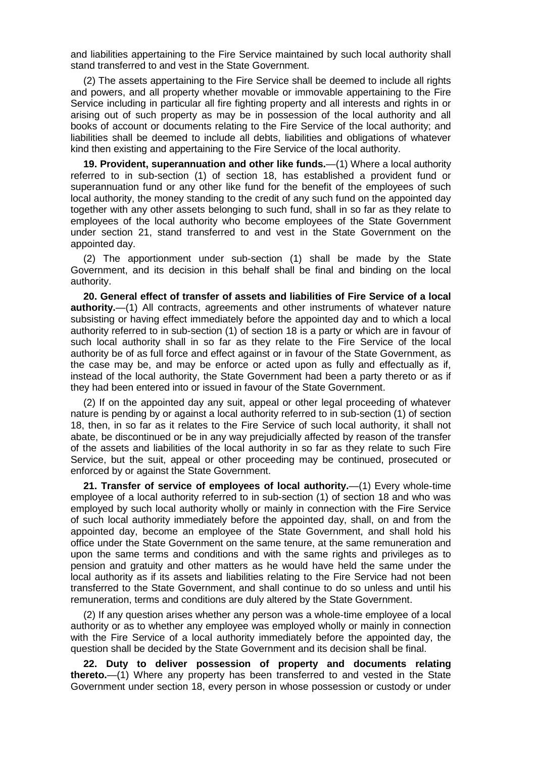and liabilities appertaining to the Fire Service maintained by such local authority shall stand transferred to and vest in the State Government.

(2) The assets appertaining to the Fire Service shall be deemed to include all rights and powers, and all property whether movable or immovable appertaining to the Fire Service including in particular all fire fighting property and all interests and rights in or arising out of such property as may be in possession of the local authority and all books of account or documents relating to the Fire Service of the local authority; and liabilities shall be deemed to include all debts, liabilities and obligations of whatever kind then existing and appertaining to the Fire Service of the local authority.

<span id="page-7-0"></span>**19. Provident, superannuation and other like funds.**—(1) Where a local authority referred to in sub-section (1) of section 18, has established a provident fund or superannuation fund or any other like fund for the benefit of the employees of such local authority, the money standing to the credit of any such fund on the appointed day together with any other assets belonging to such fund, shall in so far as they relate to employees of the local authority who become employees of the State Government under section 21, stand transferred to and vest in the State Government on the appointed day.

(2) The apportionment under sub-section (1) shall be made by the State Government, and its decision in this behalf shall be final and binding on the local authority.

<span id="page-7-1"></span>**20. General effect of transfer of assets and liabilities of Fire Service of a local authority.**—(1) All contracts, agreements and other instruments of whatever nature subsisting or having effect immediately before the appointed day and to which a local authority referred to in sub-section (1) of section 18 is a party or which are in favour of such local authority shall in so far as they relate to the Fire Service of the local authority be of as full force and effect against or in favour of the State Government, as the case may be, and may be enforce or acted upon as fully and effectually as if, instead of the local authority, the State Government had been a party thereto or as if they had been entered into or issued in favour of the State Government.

(2) If on the appointed day any suit, appeal or other legal proceeding of whatever nature is pending by or against a local authority referred to in sub-section (1) of section 18, then, in so far as it relates to the Fire Service of such local authority, it shall not abate, be discontinued or be in any way prejudicially affected by reason of the transfer of the assets and liabilities of the local authority in so far as they relate to such Fire Service, but the suit, appeal or other proceeding may be continued, prosecuted or enforced by or against the State Government.

<span id="page-7-2"></span>**21. Transfer of service of employees of local authority.**—(1) Every whole-time employee of a local authority referred to in sub-section (1) of section 18 and who was employed by such local authority wholly or mainly in connection with the Fire Service of such local authority immediately before the appointed day, shall, on and from the appointed day, become an employee of the State Government, and shall hold his office under the State Government on the same tenure, at the same remuneration and upon the same terms and conditions and with the same rights and privileges as to pension and gratuity and other matters as he would have held the same under the local authority as if its assets and liabilities relating to the Fire Service had not been transferred to the State Government, and shall continue to do so unless and until his remuneration, terms and conditions are duly altered by the State Government.

(2) If any question arises whether any person was a whole-time employee of a local authority or as to whether any employee was employed wholly or mainly in connection with the Fire Service of a local authority immediately before the appointed day, the question shall be decided by the State Government and its decision shall be final.

<span id="page-7-3"></span>**22. Duty to deliver possession of property and documents relating thereto.**—(1) Where any property has been transferred to and vested in the State Government under section 18, every person in whose possession or custody or under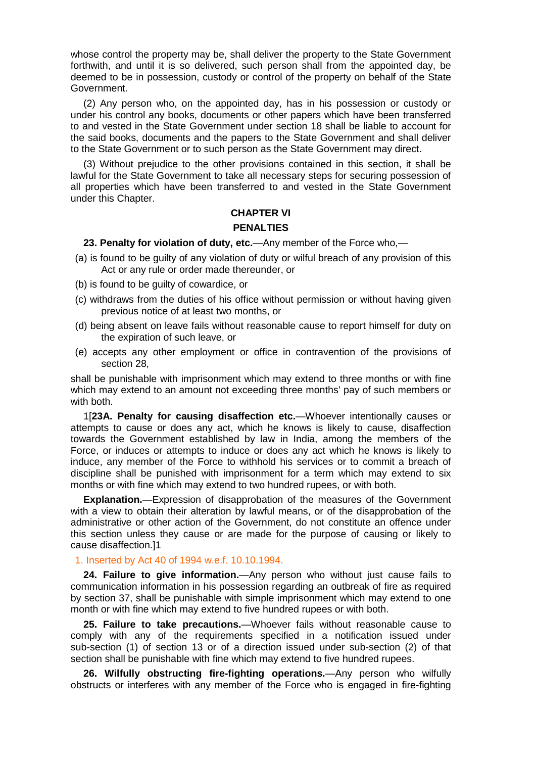whose control the property may be, shall deliver the property to the State Government forthwith, and until it is so delivered, such person shall from the appointed day, be deemed to be in possession, custody or control of the property on behalf of the State Government.

(2) Any person who, on the appointed day, has in his possession or custody or under his control any books, documents or other papers which have been transferred to and vested in the State Government under section 18 shall be liable to account for the said books, documents and the papers to the State Government and shall deliver to the State Government or to such person as the State Government may direct.

(3) Without prejudice to the other provisions contained in this section, it shall be lawful for the State Government to take all necessary steps for securing possession of all properties which have been transferred to and vested in the State Government under this Chapter.

## **CHAPTER VI**

#### **PENALTIES**

## <span id="page-8-0"></span>**23. Penalty for violation of duty, etc.**—Any member of the Force who,—

- (a) is found to be guilty of any violation of duty or wilful breach of any provision of this Act or any rule or order made thereunder, or
- (b) is found to be guilty of cowardice, or
- (c) withdraws from the duties of his office without permission or without having given previous notice of at least two months, or
- (d) being absent on leave fails without reasonable cause to report himself for duty on the expiration of such leave, or
- (e) accepts any other employment or office in contravention of the provisions of section 28,

shall be punishable with imprisonment which may extend to three months or with fine which may extend to an amount not exceeding three months' pay of such members or with both.

<span id="page-8-1"></span>1[**23A. Penalty for causing disaffection etc.**—Whoever intentionally causes or attempts to cause or does any act, which he knows is likely to cause, disaffection towards the Government established by law in India, among the members of the Force, or induces or attempts to induce or does any act which he knows is likely to induce, any member of the Force to withhold his services or to commit a breach of discipline shall be punished with imprisonment for a term which may extend to six months or with fine which may extend to two hundred rupees, or with both.

**Explanation.**—Expression of disapprobation of the measures of the Government with a view to obtain their alteration by lawful means, or of the disapprobation of the administrative or other action of the Government, do not constitute an offence under this section unless they cause or are made for the purpose of causing or likely to cause disaffection.]1

## <span id="page-8-2"></span>1. Inserted by Act 40 of 1994 w.e.f. 10.10.1994.

**24. Failure to give information.**—Any person who without just cause fails to communication information in his possession regarding an outbreak of fire as required by section 37, shall be punishable with simple imprisonment which may extend to one month or with fine which may extend to five hundred rupees or with both.

<span id="page-8-3"></span>**25. Failure to take precautions.**—Whoever fails without reasonable cause to comply with any of the requirements specified in a notification issued under sub-section (1) of section 13 or of a direction issued under sub-section (2) of that section shall be punishable with fine which may extend to five hundred rupees.

<span id="page-8-4"></span>**26. Wilfully obstructing fire-fighting operations.**—Any person who wilfully obstructs or interferes with any member of the Force who is engaged in fire-fighting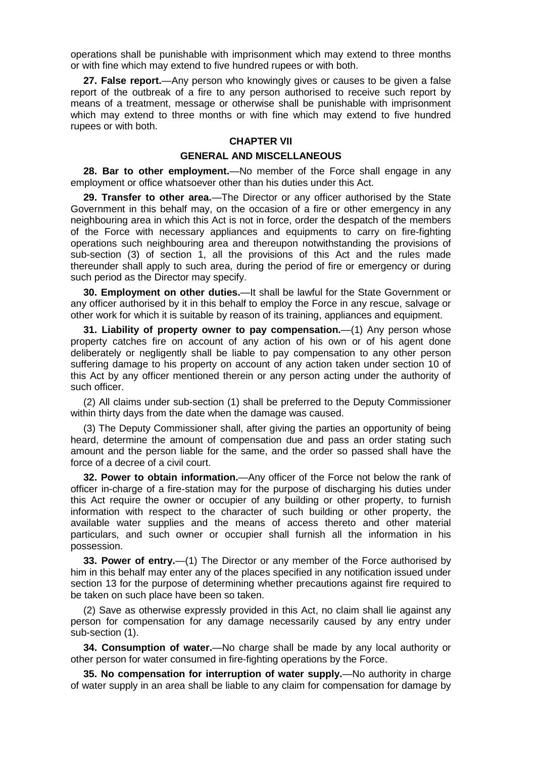operations shall be punishable with imprisonment which may extend to three months or with fine which may extend to five hundred rupees or with both.

<span id="page-9-0"></span>**27. False report.**—Any person who knowingly gives or causes to be given a false report of the outbreak of a fire to any person authorised to receive such report by means of a treatment, message or otherwise shall be punishable with imprisonment which may extend to three months or with fine which may extend to five hundred rupees or with both.

#### **CHAPTER VII**

#### **GENERAL AND MISCELLANEOUS**

<span id="page-9-1"></span>**28. Bar to other employment.**—No member of the Force shall engage in any employment or office whatsoever other than his duties under this Act.

<span id="page-9-2"></span>**29. Transfer to other area.**—The Director or any officer authorised by the State Government in this behalf may, on the occasion of a fire or other emergency in any neighbouring area in which this Act is not in force, order the despatch of the members of the Force with necessary appliances and equipments to carry on fire-fighting operations such neighbouring area and thereupon notwithstanding the provisions of sub-section (3) of section 1, all the provisions of this Act and the rules made thereunder shall apply to such area, during the period of fire or emergency or during such period as the Director may specify.

<span id="page-9-3"></span>**30. Employment on other duties.**—It shall be lawful for the State Government or any officer authorised by it in this behalf to employ the Force in any rescue, salvage or other work for which it is suitable by reason of its training, appliances and equipment.

<span id="page-9-4"></span>**31. Liability of property owner to pay compensation.**—(1) Any person whose property catches fire on account of any action of his own or of his agent done deliberately or negligently shall be liable to pay compensation to any other person suffering damage to his property on account of any action taken under section 10 of this Act by any officer mentioned therein or any person acting under the authority of such officer.

(2) All claims under sub-section (1) shall be preferred to the Deputy Commissioner within thirty days from the date when the damage was caused.

(3) The Deputy Commissioner shall, after giving the parties an opportunity of being heard, determine the amount of compensation due and pass an order stating such amount and the person liable for the same, and the order so passed shall have the force of a decree of a civil court.

<span id="page-9-5"></span>**32. Power to obtain information.**—Any officer of the Force not below the rank of officer in-charge of a fire-station may for the purpose of discharging his duties under this Act require the owner or occupier of any building or other property, to furnish information with respect to the character of such building or other property, the available water supplies and the means of access thereto and other material particulars, and such owner or occupier shall furnish all the information in his possession.

<span id="page-9-6"></span>**33. Power of entry.**—(1) The Director or any member of the Force authorised by him in this behalf may enter any of the places specified in any notification issued under section 13 for the purpose of determining whether precautions against fire required to be taken on such place have been so taken.

(2) Save as otherwise expressly provided in this Act, no claim shall lie against any person for compensation for any damage necessarily caused by any entry under sub-section (1).

<span id="page-9-7"></span>**34. Consumption of water.**—No charge shall be made by any local authority or other person for water consumed in fire-fighting operations by the Force.

<span id="page-9-8"></span>**35. No compensation for interruption of water supply.**—No authority in charge of water supply in an area shall be liable to any claim for compensation for damage by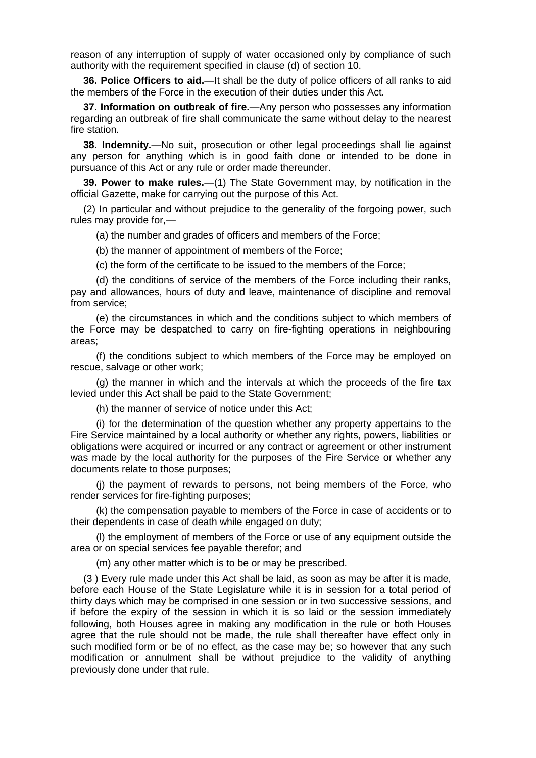reason of any interruption of supply of water occasioned only by compliance of such authority with the requirement specified in clause (d) of section 10.

<span id="page-10-0"></span>**36. Police Officers to aid.**—It shall be the duty of police officers of all ranks to aid the members of the Force in the execution of their duties under this Act.

<span id="page-10-1"></span>**37. Information on outbreak of fire.**—Any person who possesses any information regarding an outbreak of fire shall communicate the same without delay to the nearest fire station.

<span id="page-10-2"></span>**38. Indemnity.**—No suit, prosecution or other legal proceedings shall lie against any person for anything which is in good faith done or intended to be done in pursuance of this Act or any rule or order made thereunder.

<span id="page-10-3"></span>**39. Power to make rules.**—(1) The State Government may, by notification in the official Gazette, make for carrying out the purpose of this Act.

(2) In particular and without prejudice to the generality of the forgoing power, such rules may provide for,—

(a) the number and grades of officers and members of the Force;

(b) the manner of appointment of members of the Force;

(c) the form of the certificate to be issued to the members of the Force;

(d) the conditions of service of the members of the Force including their ranks, pay and allowances, hours of duty and leave, maintenance of discipline and removal from service;

(e) the circumstances in which and the conditions subject to which members of the Force may be despatched to carry on fire-fighting operations in neighbouring areas;

(f) the conditions subject to which members of the Force may be employed on rescue, salvage or other work;

(g) the manner in which and the intervals at which the proceeds of the fire tax levied under this Act shall be paid to the State Government;

(h) the manner of service of notice under this Act;

(i) for the determination of the question whether any property appertains to the Fire Service maintained by a local authority or whether any rights, powers, liabilities or obligations were acquired or incurred or any contract or agreement or other instrument was made by the local authority for the purposes of the Fire Service or whether any documents relate to those purposes;

(j) the payment of rewards to persons, not being members of the Force, who render services for fire-fighting purposes;

(k) the compensation payable to members of the Force in case of accidents or to their dependents in case of death while engaged on duty;

(l) the employment of members of the Force or use of any equipment outside the area or on special services fee payable therefor; and

(m) any other matter which is to be or may be prescribed.

(3 ) Every rule made under this Act shall be laid, as soon as may be after it is made, before each House of the State Legislature while it is in session for a total period of thirty days which may be comprised in one session or in two successive sessions, and if before the expiry of the session in which it is so laid or the session immediately following, both Houses agree in making any modification in the rule or both Houses agree that the rule should not be made, the rule shall thereafter have effect only in such modified form or be of no effect, as the case may be; so however that any such modification or annulment shall be without prejudice to the validity of anything previously done under that rule.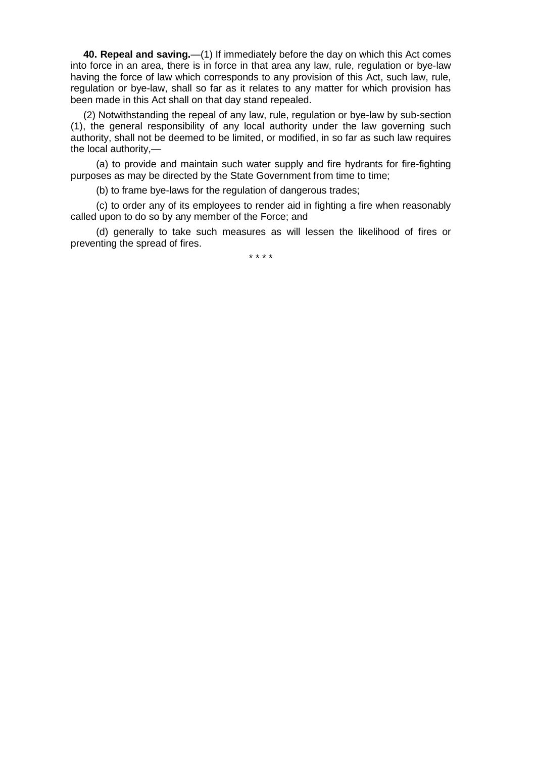<span id="page-11-0"></span>**40. Repeal and saving.**—(1) If immediately before the day on which this Act comes into force in an area, there is in force in that area any law, rule, regulation or bye-law having the force of law which corresponds to any provision of this Act, such law, rule, regulation or bye-law, shall so far as it relates to any matter for which provision has been made in this Act shall on that day stand repealed.

(2) Notwithstanding the repeal of any law, rule, regulation or bye-law by sub-section (1), the general responsibility of any local authority under the law governing such authority, shall not be deemed to be limited, or modified, in so far as such law requires the local authority,—

(a) to provide and maintain such water supply and fire hydrants for fire-fighting purposes as may be directed by the State Government from time to time;

(b) to frame bye-laws for the regulation of dangerous trades;

(c) to order any of its employees to render aid in fighting a fire when reasonably called upon to do so by any member of the Force; and

(d) generally to take such measures as will lessen the likelihood of fires or preventing the spread of fires.

\* \* \* \*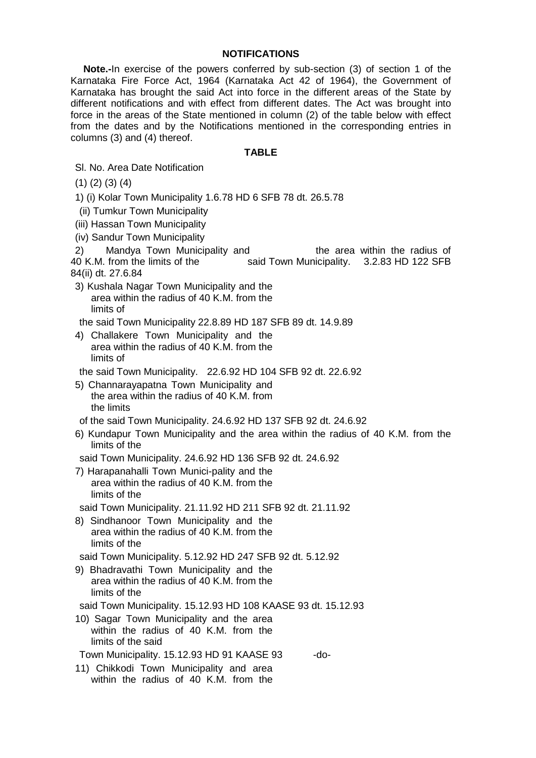## **NOTIFICATIONS**

**Note.-**In exercise of the powers conferred by sub-section (3) of section 1 of the Karnataka Fire Force Act, 1964 (Karnataka Act 42 of 1964), the Government of Karnataka has brought the said Act into force in the different areas of the State by different notifications and with effect from different dates. The Act was brought into force in the areas of the State mentioned in column (2) of the table below with effect from the dates and by the Notifications mentioned in the corresponding entries in columns (3) and (4) thereof.

## **TABLE**

Sl. No. Area Date Notification

(1) (2) (3) (4)

1) (i) Kolar Town Municipality 1.6.78 HD 6 SFB 78 dt. 26.5.78

(ii) Tumkur Town Municipality

(iii) Hassan Town Municipality

(iv) Sandur Town Municipality

2) Mandya Town Municipality and the area within the radius of 40 K.M. from the limits of the said Town Municipality. 3.2.83 HD 122 SFB said Town Municipality. 3.2.83 HD 122 SFB 84(ii) dt. 27.6.84

3) Kushala Nagar Town Municipality and the area within the radius of 40 K.M. from the limits of

the said Town Municipality 22.8.89 HD 187 SFB 89 dt. 14.9.89

4) Challakere Town Municipality and the area within the radius of 40 K.M. from the limits of

the said Town Municipality. 22.6.92 HD 104 SFB 92 dt. 22.6.92

5) Channarayapatna Town Municipality and the area within the radius of 40 K.M. from the limits

of the said Town Municipality. 24.6.92 HD 137 SFB 92 dt. 24.6.92

- 6) Kundapur Town Municipality and the area within the radius of 40 K.M. from the limits of the
- said Town Municipality. 24.6.92 HD 136 SFB 92 dt. 24.6.92
- 7) Harapanahalli Town Munici-pality and the area within the radius of 40 K.M. from the limits of the

said Town Municipality. 21.11.92 HD 211 SFB 92 dt. 21.11.92

8) Sindhanoor Town Municipality and the area within the radius of 40 K.M. from the limits of the

said Town Municipality. 5.12.92 HD 247 SFB 92 dt. 5.12.92

9) Bhadravathi Town Municipality and the area within the radius of 40 K.M. from the limits of the

said Town Municipality. 15.12.93 HD 108 KAASE 93 dt. 15.12.93

10) Sagar Town Municipality and the area within the radius of 40 K.M. from the limits of the said

Town Municipality. 15.12.93 HD 91 KAASE 93 -do-

11) Chikkodi Town Municipality and area within the radius of 40 K.M. from the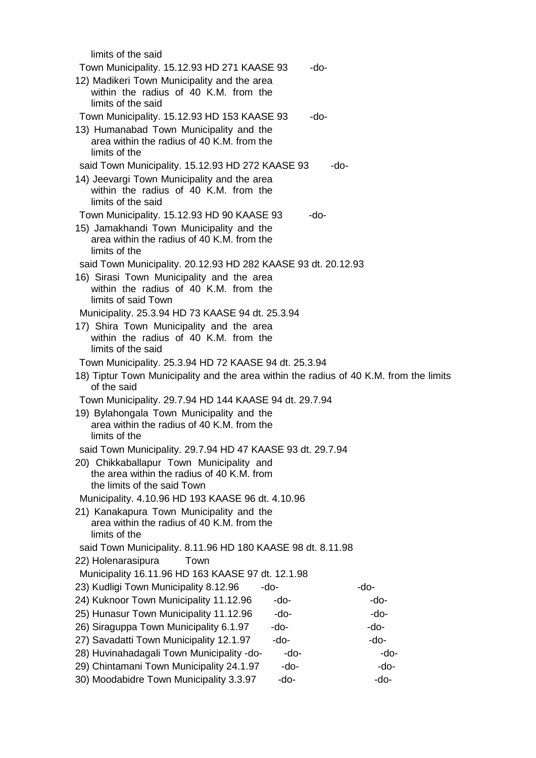| limits of the said                                                                     |      |
|----------------------------------------------------------------------------------------|------|
| Town Municipality. 15.12.93 HD 271 KAASE 93                                            | -do- |
| 12) Madikeri Town Municipality and the area                                            |      |
| within the radius of 40 K.M. from the                                                  |      |
| limits of the said                                                                     |      |
| Town Municipality. 15.12.93 HD 153 KAASE 93                                            | -do- |
| 13) Humanabad Town Municipality and the<br>area within the radius of 40 K.M. from the  |      |
| limits of the                                                                          |      |
| said Town Municipality. 15.12.93 HD 272 KAASE 93                                       | -do- |
| 14) Jeevargi Town Municipality and the area                                            |      |
| within the radius of 40 K.M. from the                                                  |      |
| limits of the said                                                                     |      |
| Town Municipality. 15.12.93 HD 90 KAASE 93                                             | -do- |
| 15) Jamakhandi Town Municipality and the<br>area within the radius of 40 K.M. from the |      |
| limits of the                                                                          |      |
| said Town Municipality. 20.12.93 HD 282 KAASE 93 dt. 20.12.93                          |      |
| 16) Sirasi Town Municipality and the area                                              |      |
| within the radius of 40 K.M. from the                                                  |      |
| limits of said Town                                                                    |      |
| Municipality. 25.3.94 HD 73 KAASE 94 dt. 25.3.94                                       |      |
| 17) Shira Town Municipality and the area<br>within the radius of 40 K.M. from the      |      |
| limits of the said                                                                     |      |
| Town Municipality. 25.3.94 HD 72 KAASE 94 dt. 25.3.94                                  |      |
| 18) Tiptur Town Municipality and the area within the radius of 40 K.M. from the limits |      |
| of the said                                                                            |      |
| Town Municipality. 29.7.94 HD 144 KAASE 94 dt. 29.7.94                                 |      |
| 19) Bylahongala Town Municipality and the                                              |      |
| area within the radius of 40 K.M. from the<br>limits of the                            |      |
| said Town Municipality. 29.7.94 HD 47 KAASE 93 dt. 29.7.94                             |      |
| 20) Chikkaballapur Town Municipality and                                               |      |
| the area within the radius of 40 K.M. from                                             |      |
| the limits of the said Town                                                            |      |
| Municipality. 4.10.96 HD 193 KAASE 96 dt. 4.10.96                                      |      |
| 21) Kanakapura Town Municipality and the                                               |      |
| area within the radius of 40 K.M. from the<br>limits of the                            |      |
| said Town Municipality. 8.11.96 HD 180 KAASE 98 dt. 8.11.98                            |      |
| 22) Holenarasipura<br>Town                                                             |      |
| Municipality 16.11.96 HD 163 KAASE 97 dt. 12.1.98                                      |      |
| 23) Kudligi Town Municipality 8.12.96<br>-do-                                          | -do- |
| 24) Kuknoor Town Municipality 11.12.96<br>-do-                                         | -do- |
| 25) Hunasur Town Municipality 11.12.96<br>-do-                                         | -do- |
| 26) Siraguppa Town Municipality 6.1.97<br>-do-                                         | -do- |
| 27) Savadatti Town Municipality 12.1.97<br>-do-                                        | -do- |
| 28) Huvinahadagali Town Municipality -do-<br>-do-                                      | -do- |
| 29) Chintamani Town Municipality 24.1.97<br>-do-                                       | -do- |
| 30) Moodabidre Town Municipality 3.3.97<br>-do-                                        | -do- |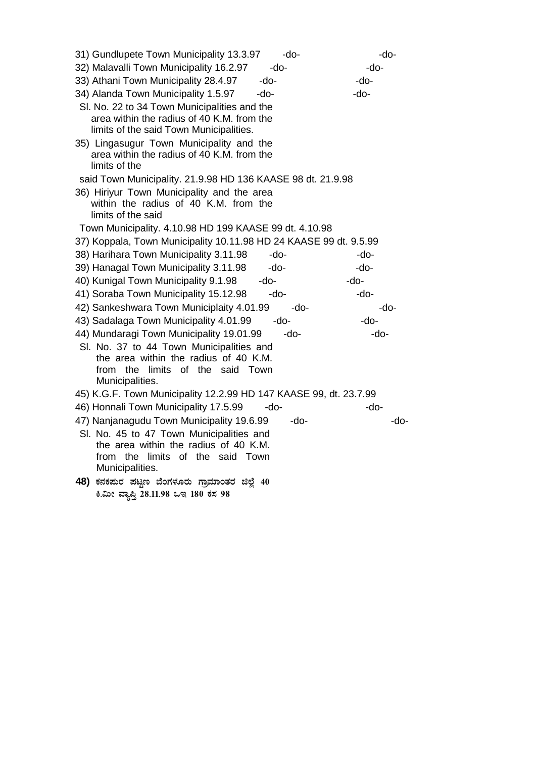| 31) Gundlupete Town Municipality 13.3.97<br>-do-                                                        | -do-   |
|---------------------------------------------------------------------------------------------------------|--------|
| 32) Malavalli Town Municipality 16.2.97<br>-do-                                                         | -do-   |
| 33) Athani Town Municipality 28.4.97<br>-do-                                                            | -do-   |
| 34) Alanda Town Municipality 1.5.97<br>-do-                                                             | -do-   |
| SI. No. 22 to 34 Town Municipalities and the                                                            |        |
| area within the radius of 40 K.M. from the                                                              |        |
| limits of the said Town Municipalities.                                                                 |        |
| 35) Lingasugur Town Municipality and the<br>area within the radius of 40 K.M. from the<br>limits of the |        |
| said Town Municipality. 21.9.98 HD 136 KAASE 98 dt. 21.9.98                                             |        |
| 36) Hiriyur Town Municipality and the area                                                              |        |
| within the radius of 40 K.M. from the<br>limits of the said                                             |        |
| Town Municipality. 4.10.98 HD 199 KAASE 99 dt. 4.10.98                                                  |        |
| 37) Koppala, Town Municipality 10.11.98 HD 24 KAASE 99 dt. 9.5.99                                       |        |
| 38) Harihara Town Municipality 3.11.98<br>-do-                                                          | -do-   |
| 39) Hanagal Town Municipality 3.11.98<br>-do-                                                           | -do-   |
| 40) Kunigal Town Municipality 9.1.98<br>-do-                                                            | $-do-$ |
| 41) Soraba Town Municipality 15.12.98<br>-do-                                                           | -do-   |
| 42) Sankeshwara Town Municiplaity 4.01.99<br>-do-                                                       | -do-   |
| 43) Sadalaga Town Municipality 4.01.99<br>-do-                                                          | $-do-$ |
| 44) Mundaragi Town Municipality 19.01.99<br>-do-                                                        | $-do-$ |
| SI. No. 37 to 44 Town Municipalities and                                                                |        |
| the area within the radius of 40 K.M.<br>from the limits of the said Town                               |        |
| Municipalities.                                                                                         |        |
| 45) K.G.F. Town Municipality 12.2.99 HD 147 KAASE 99, dt. 23.7.99                                       |        |
| 46) Honnali Town Municipality 17.5.99<br>-do-                                                           | -do-   |
| 47) Nanjanagudu Town Municipality 19.6.99<br>-do-                                                       | -do-   |
| SI. No. 45 to 47 Town Municipalities and                                                                |        |
| the area within the radius of 40 K.M.                                                                   |        |
| from the limits of the said Town                                                                        |        |
| Municipalities.                                                                                         |        |
| 48) ಕನಕಪುರ ಪಟ್ಟಣ ಬೆಂಗಳೂರು ಗ್ರಾಮಾಂತರ ಜಿಲ್ಲೆ 40                                                           |        |
| ಕಿ.ಮೀ ವ್ಯಾಪ್ತಿ 28.11.98 ಒಇ 180 ಕಸ 98                                                                    |        |